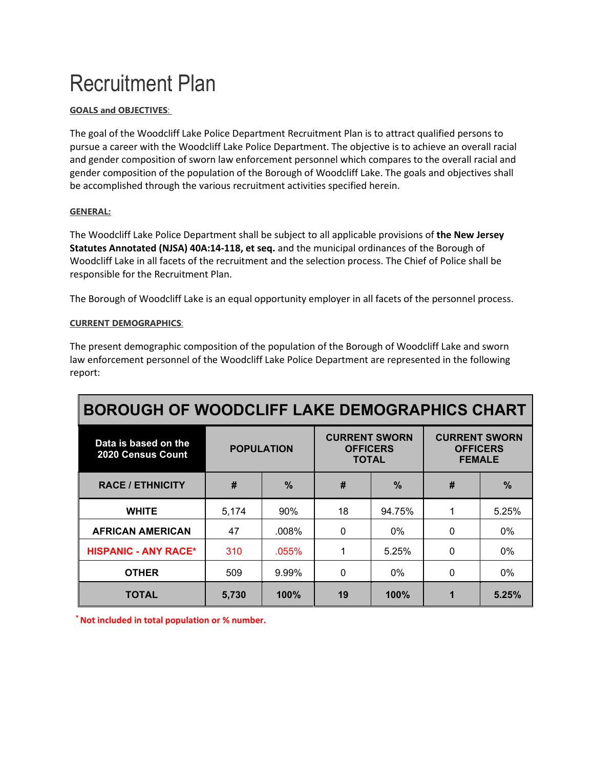# Recruitment Plan

## **GOALS and OBJECTIVES**:

The goal of the Woodcliff Lake Police Department Recruitment Plan is to attract qualified persons to pursue a career with the Woodcliff Lake Police Department. The objective is to achieve an overall racial and gender composition of sworn law enforcement personnel which compares to the overall racial and gender composition of the population of the Borough of Woodcliff Lake. The goals and objectives shall be accomplished through the various recruitment activities specified herein.

#### **GENERAL:**

The Woodcliff Lake Police Department shall be subject to all applicable provisions of **the New Jersey Statutes Annotated (NJSA) 40A:14-118, et seq.** and the municipal ordinances of the Borough of Woodcliff Lake in all facets of the recruitment and the selection process. The Chief of Police shall be responsible for the Recruitment Plan.

The Borough of Woodcliff Lake is an equal opportunity employer in all facets of the personnel process.

# **CURRENT DEMOGRAPHICS**:

The present demographic composition of the population of the Borough of Woodcliff Lake and sworn law enforcement personnel of the Woodcliff Lake Police Department are represented in the following report:

| <b>BOROUGH OF WOODCLIFF LAKE DEMOGRAPHICS CHART</b> |                   |               |                                                         |               |                                                          |       |
|-----------------------------------------------------|-------------------|---------------|---------------------------------------------------------|---------------|----------------------------------------------------------|-------|
| Data is based on the<br>2020 Census Count           | <b>POPULATION</b> |               | <b>CURRENT SWORN</b><br><b>OFFICERS</b><br><b>TOTAL</b> |               | <b>CURRENT SWORN</b><br><b>OFFICERS</b><br><b>FEMALE</b> |       |
| <b>RACE / ETHNICITY</b>                             | #                 | $\frac{0}{0}$ | #                                                       | $\frac{0}{2}$ | #                                                        | $\%$  |
| <b>WHITE</b>                                        | 5,174             | 90%           | 18                                                      | 94.75%        | 1                                                        | 5.25% |
| <b>AFRICAN AMERICAN</b>                             | 47                | $.008\%$      | $\Omega$                                                | $0\%$         | $\Omega$                                                 | $0\%$ |
| <b>HISPANIC - ANY RACE*</b>                         | 310               | $.055\%$      | 1                                                       | 5.25%         | $\Omega$                                                 | 0%    |
| <b>OTHER</b>                                        | 509               | 9.99%         | 0                                                       | $0\%$         | $\mathbf{0}$                                             | 0%    |
| TOTAL                                               | 5,730             | 100%          | 19                                                      | 100%          | 1                                                        | 5.25% |

**\* Not included in total population or % number.**